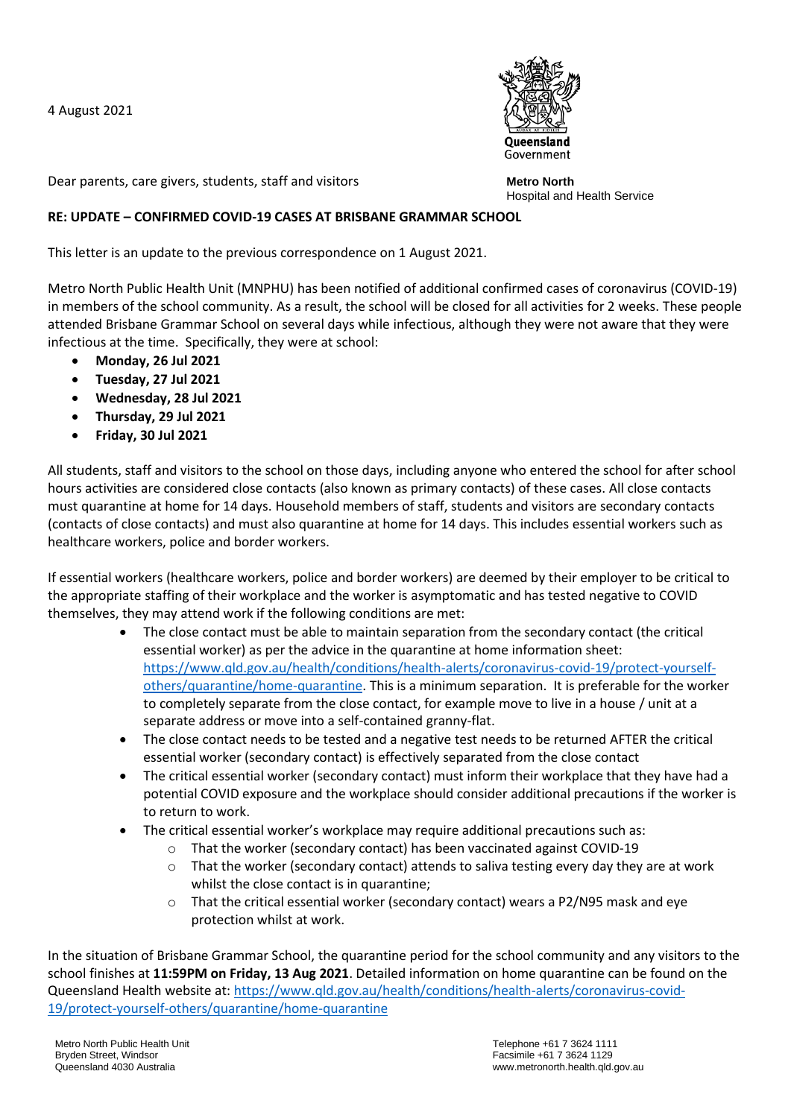4 August 2021



Dear parents, care givers, students, staff and visitors

**Metro North** Hospital and Health Service

## **RE: UPDATE – CONFIRMED COVID-19 CASES AT BRISBANE GRAMMAR SCHOOL**

This letter is an update to the previous correspondence on 1 August 2021.

Metro North Public Health Unit (MNPHU) has been notified of additional confirmed cases of coronavirus (COVID-19) in members of the school community. As a result, the school will be closed for all activities for 2 weeks. These people attended Brisbane Grammar School on several days while infectious, although they were not aware that they were infectious at the time. Specifically, they were at school:

- **Monday, 26 Jul 2021**
- **Tuesday, 27 Jul 2021**
- **Wednesday, 28 Jul 2021**
- **Thursday, 29 Jul 2021**
- **Friday, 30 Jul 2021**

All students, staff and visitors to the school on those days, including anyone who entered the school for after school hours activities are considered close contacts (also known as primary contacts) of these cases. All close contacts must quarantine at home for 14 days. Household members of staff, students and visitors are secondary contacts (contacts of close contacts) and must also quarantine at home for 14 days. This includes essential workers such as healthcare workers, police and border workers.

If essential workers (healthcare workers, police and border workers) are deemed by their employer to be critical to the appropriate staffing of their workplace and the worker is asymptomatic and has tested negative to COVID themselves, they may attend work if the following conditions are met:

- The close contact must be able to maintain separation from the secondary contact (the critical essential worker) as per the advice in the quarantine at home information sheet: [https://www.qld.gov.au/health/conditions/health-alerts/coronavirus-covid-19/protect-yourself](https://www.qld.gov.au/health/conditions/health-alerts/coronavirus-covid-19/protect-yourself-others/quarantine/home-quarantine)[others/quarantine/home-quarantine.](https://www.qld.gov.au/health/conditions/health-alerts/coronavirus-covid-19/protect-yourself-others/quarantine/home-quarantine) This is a minimum separation. It is preferable for the worker to completely separate from the close contact, for example move to live in a house / unit at a separate address or move into a self-contained granny-flat.
- The close contact needs to be tested and a negative test needs to be returned AFTER the critical essential worker (secondary contact) is effectively separated from the close contact
- The critical essential worker (secondary contact) must inform their workplace that they have had a potential COVID exposure and the workplace should consider additional precautions if the worker is to return to work.
- The critical essential worker's workplace may require additional precautions such as:
	- o That the worker (secondary contact) has been vaccinated against COVID-19
	- $\circ$  That the worker (secondary contact) attends to saliva testing every day they are at work whilst the close contact is in quarantine;
	- o That the critical essential worker (secondary contact) wears a P2/N95 mask and eye protection whilst at work.

In the situation of Brisbane Grammar School, the quarantine period for the school community and any visitors to the school finishes at **11:59PM on Friday, 13 Aug 2021**. Detailed information on home quarantine can be found on the Queensland Health website at: [https://www.qld.gov.au/health/conditions/health-alerts/coronavirus-covid-](https://www.qld.gov.au/health/conditions/health-alerts/coronavirus-covid-19/protect-yourself-others/quarantine/home-quarantine)[19/protect-yourself-others/quarantine/home-quarantine](https://www.qld.gov.au/health/conditions/health-alerts/coronavirus-covid-19/protect-yourself-others/quarantine/home-quarantine)